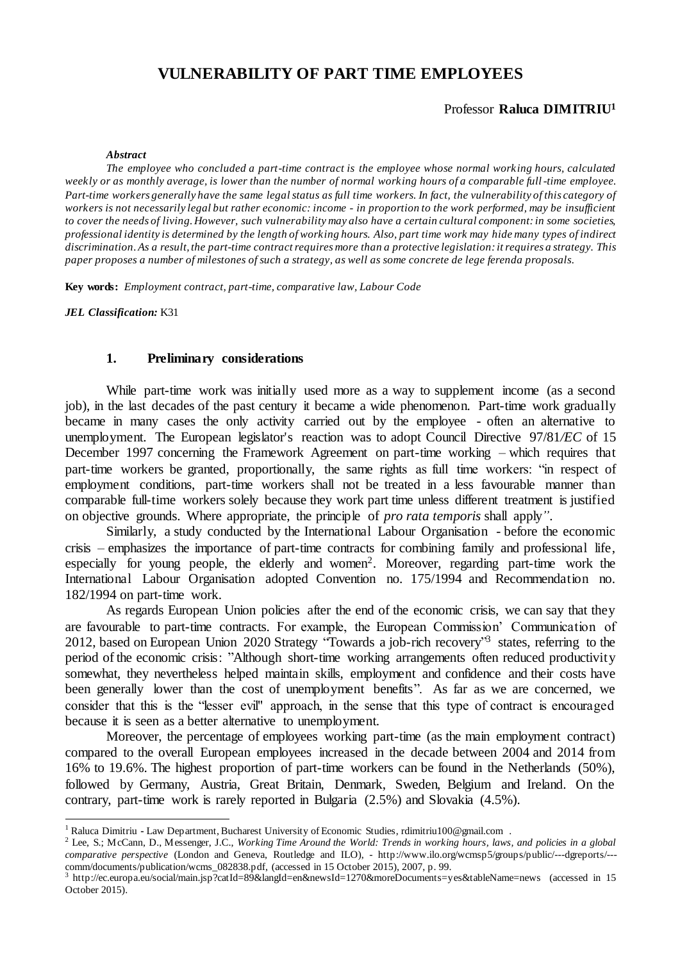# **VULNERABILITY OF PART TIME EMPLOYEES**

# Professor **Raluca DIMITRIU<sup>1</sup>**

#### *Abstract*

*The employee who concluded a part-time contract is the employee whose normal working hours, calculated*  weekly or as monthly average, is lower than the number of normal working hours of a comparable full-time employee. *Part-time workers generally have the same legal status as full time workers. In fact, the vulnerability of this category of workers is not necessarily legal but rather economic: income - in proportion to the work performed, may be insufficient to cover the needs of living. However, such vulnerability may also have a certain cultural component: in some societies, professional identity is determined by the length of working hours. Also, part time work may hide many types of indirect discrimination.As a result, the part-time contract requires more than a protective legislation: it requires a strategy. This paper proposes a number of milestones of such a strategy, as well as some concrete de lege ferenda proposals.*

**Key words:** *Employment contract, part-time, comparative law, Labour Code*

*JEL Classification:* K31

 $\overline{a}$ 

### **1. Preliminary considerations**

While part-time work was initially used more as a way to supplement income (as a second job), in the last decades of the past century it became a wide phenomenon. Part-time work gradually became in many cases the only activity carried out by the employee - often an alternative to unemployment. The European legislator's reaction was to adopt Council Directive 97/81*/EC* of 15 December 1997 concerning the Framework Agreement on part-time working – which requires that part-time workers be granted, proportionally, the same rights as full time workers: "in respect of employment conditions, part-time workers shall not be treated in a less favourable manner than comparable full-time workers solely because they work part time unless different treatment is justified on objective grounds. Where appropriate, the principle of *pro rata temporis* shall apply*"*.

Similarly, a study conducted by the International Labour Organisation - before the economic crisis – emphasizes the importance of part-time contracts for combining family and professional life, especially for young people, the elderly and women<sup>2</sup>. Moreover, regarding part-time work the International Labour Organisation adopted Convention no. 175/1994 and Recommendation no. 182/1994 on part-time work.

As regards European Union policies after the end of the economic crisis, we can say that they are favourable to part-time contracts. For example, the European Commission' Communication of 2012, based on European Union 2020 Strategy "Towards a job-rich recovery"<sup>3</sup> states, referring to the period of the economic crisis: "Although short-time working arrangements often reduced productivity somewhat, they nevertheless helped maintain skills, employment and confidence and their costs have been generally lower than the cost of unemployment benefits". As far as we are concerned, we consider that this is the "lesser evil" approach, in the sense that this type of contract is encouraged because it is seen as a better alternative to unemployment.

Moreover, the percentage of employees working part-time (as the main employment contract) compared to the overall European employees increased in the decade between 2004 and 2014 from 16% to 19.6%. The highest proportion of part-time workers can be found in the Netherlands (50%), followed by Germany, Austria, Great Britain, Denmark, Sweden, Belgium and Ireland. On the contrary, part-time work is rarely reported in Bulgaria (2.5%) and Slovakia (4.5%).

<sup>1</sup> Raluca Dimitriu **-** Law Department, Bucharest University of Economic Studies, rdimitriu100@gmail.com .

<sup>2</sup> Lee, S.; McCann, D., Messenger, J.C., *Working Time Around the World: Trends in working hours, laws, and policies in a global comparative perspective* (London and Geneva, Routledge and ILO), - http://www.ilo.org/wcmsp5/groups/public/---dgreports/-- comm/documents/publication/wcms\_082838.pdf, (accessed in 15 October 2015), 2007, p. 99.<br>3 http://ec.europa.gu/social/main.jsp?ortId=80&langId=ep&paysId=1270&moreDocuments=1

http://ec.europa.eu/social/main.jsp?catId=89&langId=en&newsId=1270&moreDocuments=yes&tableName=news (accessed in 15 October 2015).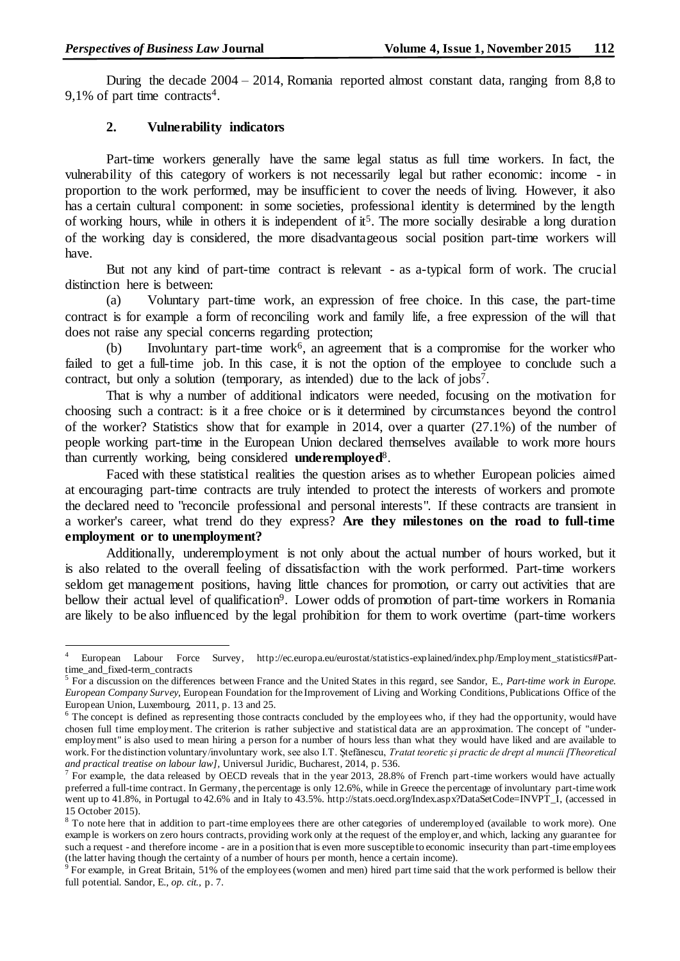During the decade 2004 – 2014, Romania reported almost constant data, ranging from 8,8 to 9,1% of part time contracts<sup>4</sup>.

# **2. Vulnerability indicators**

Part-time workers generally have the same legal status as full time workers. In fact, the vulnerability of this category of workers is not necessarily legal but rather economic: income - in proportion to the work performed, may be insufficient to cover the needs of living. However, it also has a certain cultural component: in some societies, professional identity is determined by the length of working hours, while in others it is independent of it<sup>5</sup>. The more socially desirable a long duration of the working day is considered, the more disadvantageous social position part-time workers will have.

But not any kind of part-time contract is relevant - as a-typical form of work. The crucial distinction here is between:

(a) Voluntary part-time work, an expression of free choice. In this case, the part-time contract is for example a form of reconciling work and family life, a free expression of the will that does not raise any special concerns regarding protection;

(b) Involuntary part-time work<sup> $6$ </sup>, an agreement that is a compromise for the worker who failed to get a full-time job. In this case, it is not the option of the employee to conclude such a contract, but only a solution (temporary, as intended) due to the lack of jobs<sup>7</sup>.

That is why a number of additional indicators were needed, focusing on the motivation for choosing such a contract: is it a free choice or is it determined by circumstances beyond the control of the worker? Statistics show that for example in 2014, over a quarter (27.1%) of the number of people working part-time in the European Union declared themselves available to work more hours than currently working, being considered **underemployed**<sup>8</sup> .

Faced with these statistical realities the question arises as to whether European policies aimed at encouraging part-time contracts are truly intended to protect the interests of workers and promote the declared need to "reconcile professional and personal interests". If these contracts are transient in a worker's career, what trend do they express? **Are they milestones on the road to full-time employment or to unemployment?**

Additionally, underemployment is not only about the actual number of hours worked, but it is also related to the overall feeling of dissatisfaction with the work performed. Part-time workers seldom get management positions, having little chances for promotion, or carry out activities that are bellow their actual level of qualification<sup>9</sup>. Lower odds of promotion of part-time workers in Romania are likely to be also influenced by the legal prohibition for them to work overtime (part-time workers

 $\overline{4}$ <sup>4</sup> European Labour Force Survey, http://ec.europa.eu/eurostat/statistics-explained/index.php/Employment\_statistics#Parttime\_and\_fixed-term\_contracts

<sup>5</sup> For a discussion on the differences between France and the United States in this regard, see Sandor, E., *Part-time work in Europe. European Company Survey*, European Foundation for the Improvement of Living and Working Conditions, Publications Office of the European Union, Luxembourg, 2011, p. 13 and 25.

<sup>&</sup>lt;sup>6</sup> The concept is defined as representing those contracts concluded by the employees who, if they had the opportunity, would have chosen full time employment. The criterion is rather subjective and statistical data are an approximation. The concept of "underemployment" is also used to mean hiring a person for a number of hours less than what they would have liked and are available to work. For the distinction voluntary/involuntary work, see also I.T. Ştefănescu, *Tratat teoretic și practic de drept al muncii [Theoretical and practical treatise on labour law],* Universul Juridic, Bucharest, 2014, p. 536.

<sup>&</sup>lt;sup>7</sup> For example, the data released by OECD reveals that in the year 2013, 28.8% of French part-time workers would have actually preferred a full-time contract. In Germany, the percentage is only 12.6%, while in Greece the percentage of involuntary part-time work went up to 41.8%, in Portugal to 42.6% and in Italy to 43.5%. http://stats.oecd.org/Index.aspx?DataSetCode=INVPT\_I, (accessed in 15 October 2015).

<sup>&</sup>lt;sup>8</sup> To note here that in addition to part-time employees there are other categories of underemployed (available to work more). One example is workers on zero hours contracts, providing work only at the request of the employer, and which, lacking any guarantee for such a request - and therefore income - are in a position that is even more susceptible to economic insecurity than part-time employees (the latter having though the certainty of a number of hours per month, hence a certain income).

<sup>&</sup>lt;sup>9</sup> For example, in Great Britain, 51% of the employees (women and men) hired part time said that the work performed is bellow their full potential. Sandor, E., *op. cit.,* p. 7.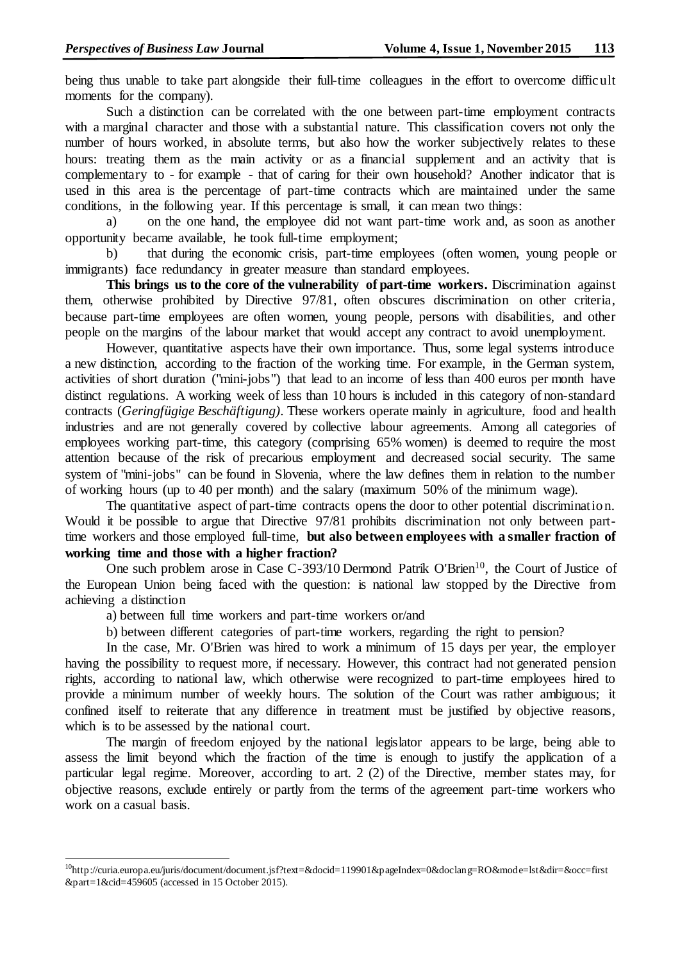being thus unable to take part alongside their full-time colleagues in the effort to overcome difficult moments for the company).

Such a distinction can be correlated with the one between part-time employment contracts with a marginal character and those with a substantial nature. This classification covers not only the number of hours worked, in absolute terms, but also how the worker subjectively relates to these hours: treating them as the main activity or as a financial supplement and an activity that is complementary to - for example - that of caring for their own household? Another indicator that is used in this area is the percentage of part-time contracts which are maintained under the same conditions, in the following year. If this percentage is small, it can mean two things:

a) on the one hand, the employee did not want part-time work and, as soon as another opportunity became available, he took full-time employment;

b) that during the economic crisis, part-time employees (often women, young people or immigrants) face redundancy in greater measure than standard employees.

**This brings us to the core of the vulnerability of part-time workers.** Discrimination against them, otherwise prohibited by Directive 97/81, often obscures discrimination on other criteria, because part-time employees are often women, young people, persons with disabilities, and other people on the margins of the labour market that would accept any contract to avoid unemployment.

However, quantitative aspects have their own importance. Thus, some legal systems introduce a new distinction, according to the fraction of the working time. For example, in the German system, activities of short duration ("mini-jobs") that lead to an income of less than 400 euros per month have distinct regulations. A working week of less than 10 hours is included in this category of non-standard contracts (*Geringfügige Beschäftigung)*. These workers operate mainly in agriculture, food and health industries and are not generally covered by collective labour agreements. Among all categories of employees working part-time, this category (comprising 65% women) is deemed to require the most attention because of the risk of precarious employment and decreased social security. The same system of "mini-jobs" can be found in Slovenia, where the law defines them in relation to the number of working hours (up to 40 per month) and the salary (maximum 50% of the minimum wage).

The quantitative aspect of part-time contracts opens the door to other potential discrimination. Would it be possible to argue that Directive 97/81 prohibits discrimination not only between parttime workers and those employed full-time, **but also between employees with a smaller fraction of working time and those with a higher fraction?**

One such problem arose in Case C-393/10 Dermond Patrik O'Brien<sup>10</sup>, the Court of Justice of the European Union being faced with the question: is national law stopped by the Directive from achieving a distinction

a) between full time workers and part-time workers or/and

 $\overline{a}$ 

b) between different categories of part-time workers, regarding the right to pension?

In the case, Mr. O'Brien was hired to work a minimum of 15 days per year, the employer having the possibility to request more, if necessary. However, this contract had not generated pension rights, according to national law, which otherwise were recognized to part-time employees hired to provide a minimum number of weekly hours. The solution of the Court was rather ambiguous; it confined itself to reiterate that any difference in treatment must be justified by objective reasons, which is to be assessed by the national court.

The margin of freedom enjoyed by the national legislator appears to be large, being able to assess the limit beyond which the fraction of the time is enough to justify the application of a particular legal regime. Moreover, according to art. 2 (2) of the Directive, member states may, for objective reasons, exclude entirely or partly from the terms of the agreement part-time workers who work on a casual basis.

<sup>10</sup>http://curia.europa.eu/juris/document/document.jsf?text=&docid=119901&pageIndex=0&doclang=RO&mode=lst&dir=&occ=first &part=1&cid=459605 (accessed in 15 October 2015).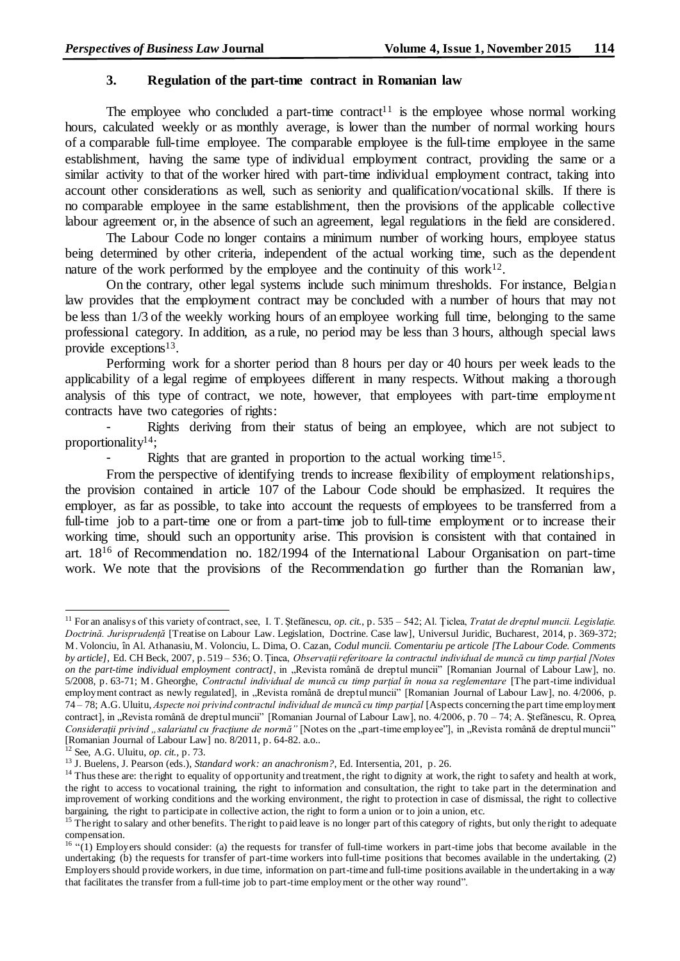# **3. Regulation of the part-time contract in Romanian law**

The employee who concluded a part-time contract<sup>11</sup> is the employee whose normal working hours, calculated weekly or as monthly average, is lower than the number of normal working hours of a comparable full-time employee. The comparable employee is the full-time employee in the same establishment, having the same type of individual employment contract, providing the same or a similar activity to that of the worker hired with part-time individual employment contract, taking into account other considerations as well, such as seniority and qualification/vocational skills. If there is no comparable employee in the same establishment, then the provisions of the applicable collective labour agreement or, in the absence of such an agreement, legal regulations in the field are considered.

The Labour Code no longer contains a minimum number of working hours, employee status being determined by other criteria, independent of the actual working time, such as the dependent nature of the work performed by the employee and the continuity of this work<sup>12</sup>.

On the contrary, other legal systems include such minimum thresholds. For instance, Belgian law provides that the employment contract may be concluded with a number of hours that may not be less than 1/3 of the weekly working hours of an employee working full time, belonging to the same professional category. In addition, as a rule, no period may be less than 3 hours, although special laws provide exceptions<sup>13</sup>.

Performing work for a shorter period than 8 hours per day or 40 hours per week leads to the applicability of a legal regime of employees different in many respects. Without making a thorough analysis of this type of contract, we note, however, that employees with part-time employment contracts have two categories of rights:

Rights deriving from their status of being an employee, which are not subject to proportionality<sup>14</sup>;

- Rights that are granted in proportion to the actual working time<sup>15</sup>.

From the perspective of identifying trends to increase flexibility of employment relationships, the provision contained in article 107 of the Labour Code should be emphasized. It requires the employer, as far as possible, to take into account the requests of employees to be transferred from a full-time job to a part-time one or from a part-time job to full-time employment or to increase their working time, should such an opportunity arise. This provision is consistent with that contained in art. 18<sup>16</sup> of Recommendation no. 182/1994 of the International Labour Organisation on part-time work. We note that the provisions of the Recommendation go further than the Romanian law,

 $\overline{a}$ 

<sup>11</sup> For an analisys of this variety of contract, see, I. T. Ştefănescu, *op. cit.*, p. 535 – 542; Al. Ţiclea, *Tratat de dreptul muncii. Legislație. Doctrină. Jurisprudență* [Treatise on Labour Law. Legislation, Doctrine. Case law]*,* Universul Juridic, Bucharest, 2014, p. 369-372; M. Volonciu, în Al. Athanasiu, M. Volonciu, L. Dima, O. Cazan, *Codul muncii. Comentariu pe articole [The Labour Code. Comments by article]*, Ed. CH Beck, 2007*,* p. 519 – 536; O. Ținca, *Observații referitoare la contractul individual de muncă cu timp parțial [Notes on the part-time individual employment contract]*, in "Revista română de dreptul muncii" [Romanian Journal of Labour Law], no. 5/2008, p. 63-71; M. Gheorghe, *Contractul individual de muncă cu timp parţial în noua sa reglementare* [The part-time individual employment contract as newly regulated], in "Revista română de dreptul muncii" [Romanian Journal of Labour Law], no. 4/2006, p. 74 – 78; A.G. Uluitu, *Aspecte noi privind contractul individual de muncă cu timp parţial* [Aspects concerning the part time employment contract], in "Revista română de dreptul muncii" [Romanian Journal of Labour Law], no. 4/2006, p. 70 – 74; A. Ștefănescu, R. Oprea, Considerații privind "salariatul cu fracțiune de normă" [Notes on the "part-time employee"], in "Revista română de dreptul muncii" [Romanian Journal of Labour Law] no. 8/2011, p. 64-82. a.o..

<sup>12</sup> See, A.G. Uluitu, *op. cit.,* p. 73.

<sup>13</sup> J. Buelens, J. Pearson (eds.), *Standard work: an anachronism?*, Ed. Intersentia, 201, p. 26.

<sup>&</sup>lt;sup>14</sup> Thus these are: the right to equality of opportunity and treatment, the right to dignity at work, the right to safety and health at work, the right to access to vocational training, the right to information and consultation, the right to take part in the determination and improvement of working conditions and the working environment, the right to protection in case of dismissal, the right to collective bargaining, the right to participate in collective action, the right to form a union or to join a union, etc.

<sup>&</sup>lt;sup>15</sup> The right to salary and other benefits. The right to paid leave is no longer part of this category of rights, but only the right to adequate compensation.

<sup>&</sup>lt;sup>16</sup> "(1) Employers should consider: (a) the requests for transfer of full-time workers in part-time jobs that become available in the undertaking; (b) the requests for transfer of part-time workers into full-time positions that becomes available in the undertaking. (2) Employers should provide workers, in due time, information on part-time and full-time positions available in the undertaking in a way that facilitates the transfer from a full-time job to part-time employment or the other way round".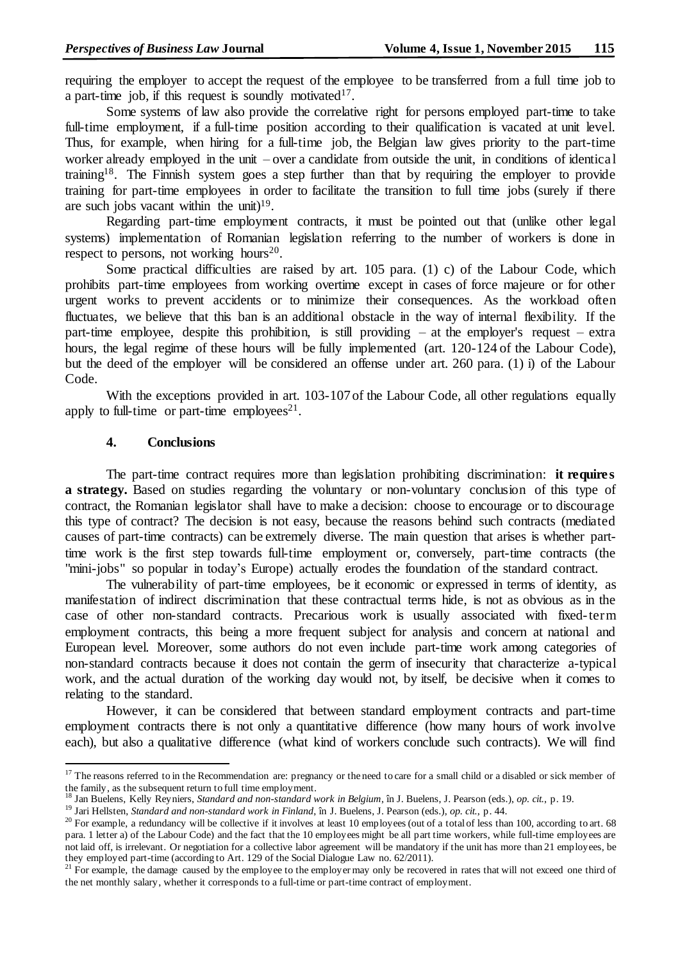requiring the employer to accept the request of the employee to be transferred from a full time job to a part-time job, if this request is soundly motivated<sup>17</sup>.

Some systems of law also provide the correlative right for persons employed part-time to take full-time employment, if a full-time position according to their qualification is vacated at unit level. Thus, for example, when hiring for a full-time job, the Belgian law gives priority to the part-time worker already employed in the unit – over a candidate from outside the unit, in conditions of identical training<sup>18</sup>. The Finnish system goes a step further than that by requiring the employer to provide training for part-time employees in order to facilitate the transition to full time jobs (surely if there are such jobs vacant within the unit) $1^9$ .

Regarding part-time employment contracts, it must be pointed out that (unlike other legal systems) implementation of Romanian legislation referring to the number of workers is done in respect to persons, not working hours<sup>20</sup>.

Some practical difficulties are raised by art. 105 para. (1) c) of the Labour Code, which prohibits part-time employees from working overtime except in cases of force majeure or for other urgent works to prevent accidents or to minimize their consequences. As the workload often fluctuates, we believe that this ban is an additional obstacle in the way of internal flexibility. If the part-time employee, despite this prohibition, is still providing – at the employer's request – extra hours, the legal regime of these hours will be fully implemented (art. 120-124 of the Labour Code), but the deed of the employer will be considered an offense under art. 260 para. (1) i) of the Labour Code.

With the exceptions provided in art. 103-107 of the Labour Code, all other regulations equally apply to full-time or part-time employees<sup>21</sup>.

# **4. Conclusions**

 $\overline{a}$ 

The part-time contract requires more than legislation prohibiting discrimination: **it requires a strategy.** Based on studies regarding the voluntary or non-voluntary conclusion of this type of contract, the Romanian legislator shall have to make a decision: choose to encourage or to discourage this type of contract? The decision is not easy, because the reasons behind such contracts (mediated causes of part-time contracts) can be extremely diverse. The main question that arises is whether parttime work is the first step towards full-time employment or, conversely, part-time contracts (the "mini-jobs" so popular in today's Europe) actually erodes the foundation of the standard contract.

The vulnerability of part-time employees, be it economic or expressed in terms of identity, as manifestation of indirect discrimination that these contractual terms hide, is not as obvious as in the case of other non-standard contracts. Precarious work is usually associated with fixed-term employment contracts, this being a more frequent subject for analysis and concern at national and European level. Moreover, some authors do not even include part-time work among categories of non-standard contracts because it does not contain the germ of insecurity that characterize a-typical work, and the actual duration of the working day would not, by itself, be decisive when it comes to relating to the standard.

However, it can be considered that between standard employment contracts and part-time employment contracts there is not only a quantitative difference (how many hours of work involve each), but also a qualitative difference (what kind of workers conclude such contracts). We will find

<sup>&</sup>lt;sup>17</sup> The reasons referred to in the Recommendation are: pregnancy or the need to care for a small child or a disabled or sick member of the family, as the subsequent return to full time employment.

<sup>18</sup> Jan Buelens, Kelly Reyniers, *Standard and non-standard work in Belgium*, în J. Buelens, J. Pearson (eds.), *op. cit.*, p. 19.

<sup>19</sup> Jari Hellsten, *Standard and non-standard work in Finland*, în J. Buelens, J. Pearson (eds.), *op. cit.*, p. 44.

 $20$  For example, a redundancy will be collective if it involves at least 10 employees (out of a total of less than 100, according to art. 68) para. 1 letter a) of the Labour Code) and the fact that the 10 employees might be all part time workers, while full-time employees are not laid off, is irrelevant. Or negotiation for a collective labor agreement will be mandatory if the unit has more than 21 employees, be they employed part-time (according to Art. 129 of the Social Dialogue Law no. 62/2011).

 $21$  For example, the damage caused by the employee to the employer may only be recovered in rates that will not exceed one third of the net monthly salary, whether it corresponds to a full-time or part-time contract of employment.